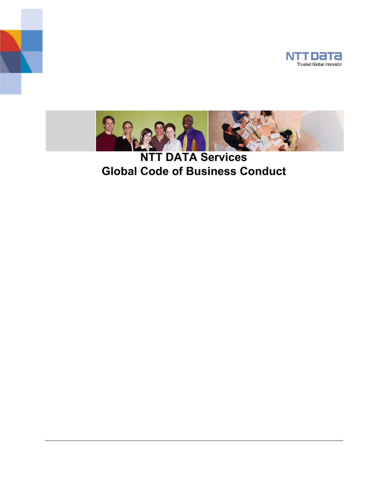



**NTT DATA Services Global Code of Business Conduct**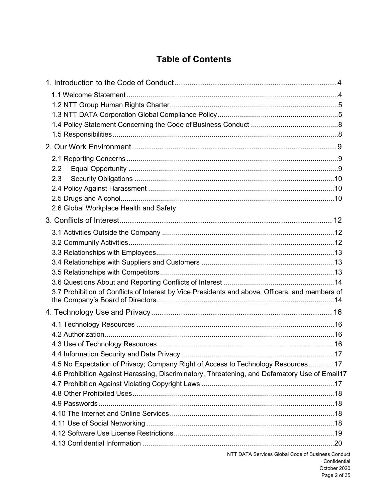# **Table of Contents**

| 2.2                                                                                             |  |
|-------------------------------------------------------------------------------------------------|--|
| 2.3                                                                                             |  |
|                                                                                                 |  |
|                                                                                                 |  |
| 2.6 Global Workplace Health and Safety                                                          |  |
|                                                                                                 |  |
|                                                                                                 |  |
|                                                                                                 |  |
|                                                                                                 |  |
|                                                                                                 |  |
|                                                                                                 |  |
|                                                                                                 |  |
| 3.7 Prohibition of Conflicts of Interest by Vice Presidents and above, Officers, and members of |  |
|                                                                                                 |  |
|                                                                                                 |  |
|                                                                                                 |  |
|                                                                                                 |  |
|                                                                                                 |  |
| 4.5 No Expectation of Privacy; Company Right of Access to Technology Resources17                |  |
| 4.6 Prohibition Against Harassing, Discriminatory, Threatening, and Defamatory Use of Email17   |  |
|                                                                                                 |  |
|                                                                                                 |  |
|                                                                                                 |  |
|                                                                                                 |  |
|                                                                                                 |  |
|                                                                                                 |  |
|                                                                                                 |  |

NTT DATA Services Global Code of Business Conduct Confidential October 2020 Page 2 of 35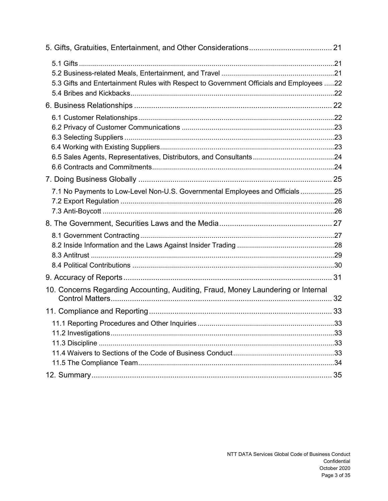| 5.3 Gifts and Entertainment Rules with Respect to Government Officials and Employees 22 |     |
|-----------------------------------------------------------------------------------------|-----|
|                                                                                         |     |
|                                                                                         |     |
|                                                                                         |     |
|                                                                                         |     |
| 7.1 No Payments to Low-Level Non-U.S. Governmental Employees and Officials25            |     |
|                                                                                         |     |
|                                                                                         |     |
|                                                                                         |     |
| 10. Concerns Regarding Accounting, Auditing, Fraud, Money Laundering or Internal        |     |
|                                                                                         |     |
| 11.1 Reporting Procedures and Other Inquiries                                           | .33 |
|                                                                                         |     |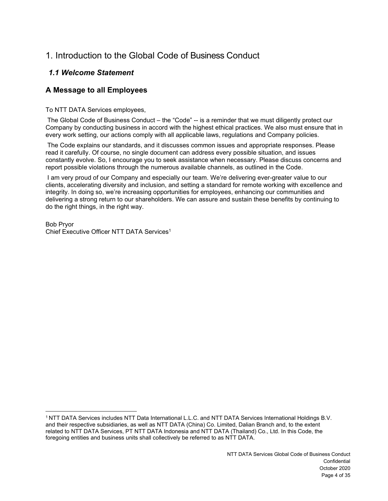# <span id="page-3-1"></span><span id="page-3-0"></span>1. Introduction to the Global Code of Business Conduct

## *1.1 Welcome Statement*

## **A Message to all Employees**

To NTT DATA Services employees,

The Global Code of Business Conduct – the "Code" -- is a reminder that we must diligently protect our Company by conducting business in accord with the highest ethical practices. We also must ensure that in every work setting, our actions comply with all applicable laws, regulations and Company policies.

The Code explains our standards, and it discusses common issues and appropriate responses. Please read it carefully. Of course, no single document can address every possible situation, and issues constantly evolve. So, I encourage you to seek assistance when necessary. Please discuss concerns and report possible violations through the numerous available channels, as outlined in the Code.

I am very proud of our Company and especially our team. We're delivering ever-greater value to our clients, accelerating diversity and inclusion, and setting a standard for remote working with excellence and integrity. In doing so, we're increasing opportunities for employees, enhancing our communities and delivering a strong return to our shareholders. We can assure and sustain these benefits by continuing to do the right things, in the right way.

Bob Pryor Chief Executive Officer NTT DATA Services1

<sup>1</sup> NTT DATA Services includes NTT Data International L.L.C. and NTT DATA Services International Holdings B.V. and their respective subsidiaries, as well as NTT DATA (China) Co. Limited, Dalian Branch and, to the extent related to NTT DATA Services, PT NTT DATA Indonesia and NTT DATA (Thailand) Co., Ltd. In this Code, the foregoing entities and business units shall collectively be referred to as NTT DATA.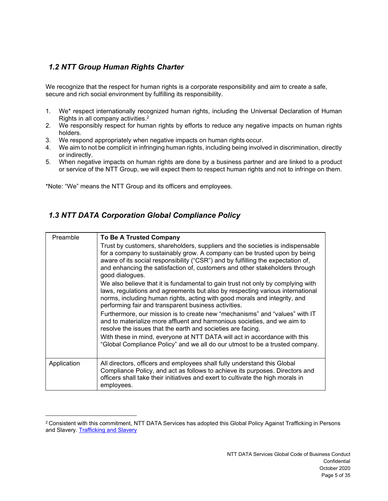## <span id="page-4-0"></span>*1.2 NTT Group Human Rights Charter*

We recognize that the respect for human rights is a corporate responsibility and aim to create a safe, secure and rich social environment by fulfilling its responsibility.

- 1. We\* respect internationally recognized human rights, including the Universal Declaration of Human Rights in all company activities.2
- 2. We responsibly respect for human rights by efforts to reduce any negative impacts on human rights holders.
- 3. We respond appropriately when negative impacts on human rights occur.
- 4. We aim to not be complicit in infringing human rights, including being involved in discrimination, directly or indirectly.
- 5. When negative impacts on human rights are done by a business partner and are linked to a product or service of the NTT Group, we will expect them to respect human rights and not to infringe on them.

\*Note: "We" means the NTT Group and its officers and employees.

## <span id="page-4-1"></span>*1.3 NTT DATA Corporation Global Compliance Policy*

| Preamble    | <b>To Be A Trusted Company</b>                                                                                                                                                                                                                                                                                                                    |
|-------------|---------------------------------------------------------------------------------------------------------------------------------------------------------------------------------------------------------------------------------------------------------------------------------------------------------------------------------------------------|
|             | Trust by customers, shareholders, suppliers and the societies is indispensable<br>for a company to sustainably grow. A company can be trusted upon by being<br>aware of its social responsibility ("CSR") and by fulfilling the expectation of,<br>and enhancing the satisfaction of, customers and other stakeholders through<br>good dialogues. |
|             | We also believe that it is fundamental to gain trust not only by complying with<br>laws, regulations and agreements but also by respecting various international<br>norms, including human rights, acting with good morals and integrity, and<br>performing fair and transparent business activities.                                             |
|             | Furthermore, our mission is to create new "mechanisms" and "values" with IT<br>and to materialize more affluent and harmonious societies, and we aim to<br>resolve the issues that the earth and societies are facing.                                                                                                                            |
|             | With these in mind, everyone at NTT DATA will act in accordance with this<br>"Global Compliance Policy" and we all do our utmost to be a trusted company.                                                                                                                                                                                         |
| Application | All directors, officers and employees shall fully understand this Global<br>Compliance Policy, and act as follows to achieve its purposes. Directors and<br>officers shall take their initiatives and exert to cultivate the high morals in<br>employees.                                                                                         |

<sup>&</sup>lt;sup>2</sup> Consistent with this commitment, NTT DATA Services has adopted this Global Policy Against Trafficking in Persons and Slavery[. Trafficking and Slavery](https://nttdatagroup.sharepoint.com/sites/SRVS-HCM/Shared%20Documents/Forms/AllItems.aspx?id=%2Fsites%2FSRVS-HCM%2FShared%20Documents%2FGlobal%20Policy%20Against%20Trafficking%20in%20Persons%20and%20Slavery%2Epdf&parent=%2Fsites%2FSRVS-HCM%2FShared%20Documents)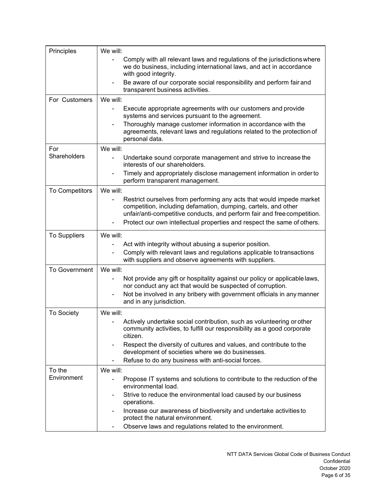| Principles            | We will:                                                                                                                                                                                                           |
|-----------------------|--------------------------------------------------------------------------------------------------------------------------------------------------------------------------------------------------------------------|
|                       | Comply with all relevant laws and regulations of the jurisdictions where<br>we do business, including international laws, and act in accordance<br>with good integrity.                                            |
|                       | Be aware of our corporate social responsibility and perform fair and<br>transparent business activities.                                                                                                           |
| For Customers         | We will:                                                                                                                                                                                                           |
|                       | Execute appropriate agreements with our customers and provide<br>systems and services pursuant to the agreement.                                                                                                   |
|                       | Thoroughly manage customer information in accordance with the<br>agreements, relevant laws and regulations related to the protection of<br>personal data.                                                          |
| For                   | We will:                                                                                                                                                                                                           |
| <b>Shareholders</b>   | Undertake sound corporate management and strive to increase the<br>interests of our shareholders.                                                                                                                  |
|                       | Timely and appropriately disclose management information in order to<br>perform transparent management.                                                                                                            |
| <b>To Competitors</b> | We will:                                                                                                                                                                                                           |
|                       | Restrict ourselves from performing any acts that would impede market<br>competition, including defamation, dumping, cartels, and other<br>unfair/anti-competitive conducts, and perform fair and free competition. |
|                       | Protect our own intellectual properties and respect the same of others.                                                                                                                                            |
| To Suppliers          | We will:                                                                                                                                                                                                           |
|                       | Act with integrity without abusing a superior position.                                                                                                                                                            |
|                       | Comply with relevant laws and regulations applicable to transactions<br>with suppliers and observe agreements with suppliers.                                                                                      |
| <b>To Government</b>  | We will:                                                                                                                                                                                                           |
|                       | Not provide any gift or hospitality against our policy or applicable laws,<br>nor conduct any act that would be suspected of corruption.                                                                           |
|                       | Not be involved in any bribery with government officials in any manner<br>and in any jurisdiction.                                                                                                                 |
| To Society            | We will:                                                                                                                                                                                                           |
|                       | Actively undertake social contribution, such as volunteering or other<br>community activities, to fulfill our responsibility as a good corporate<br>citizen.                                                       |
|                       | Respect the diversity of cultures and values, and contribute to the<br>development of societies where we do businesses.                                                                                            |
|                       | Refuse to do any business with anti-social forces.                                                                                                                                                                 |
| To the                | We will:                                                                                                                                                                                                           |
| Environment           | Propose IT systems and solutions to contribute to the reduction of the<br>environmental load.                                                                                                                      |
|                       | Strive to reduce the environmental load caused by our business<br>operations.                                                                                                                                      |
|                       | Increase our awareness of biodiversity and undertake activities to<br>protect the natural environment.                                                                                                             |
|                       | Observe laws and regulations related to the environment.                                                                                                                                                           |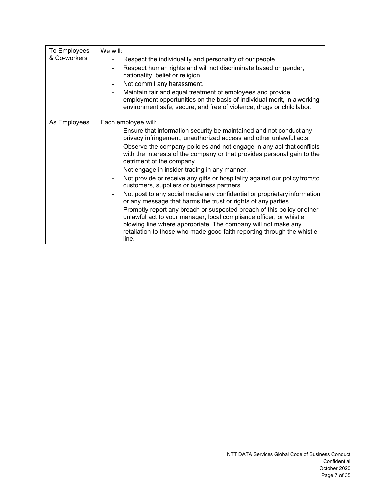| To Employees<br>& Co-workers | We will:<br>Respect the individuality and personality of our people.<br>Respect human rights and will not discriminate based on gender,<br>nationality, belief or religion.<br>Not commit any harassment.<br>Maintain fair and equal treatment of employees and provide<br>employment opportunities on the basis of individual merit, in a working<br>environment safe, secure, and free of violence, drugs or child labor.                                                                                                                                                                                                                                                                                                                                                                                                                                                                                                                                                   |
|------------------------------|-------------------------------------------------------------------------------------------------------------------------------------------------------------------------------------------------------------------------------------------------------------------------------------------------------------------------------------------------------------------------------------------------------------------------------------------------------------------------------------------------------------------------------------------------------------------------------------------------------------------------------------------------------------------------------------------------------------------------------------------------------------------------------------------------------------------------------------------------------------------------------------------------------------------------------------------------------------------------------|
| As Employees                 | Each employee will:<br>Ensure that information security be maintained and not conduct any<br>privacy infringement, unauthorized access and other unlawful acts.<br>Observe the company policies and not engage in any act that conflicts<br>with the interests of the company or that provides personal gain to the<br>detriment of the company.<br>Not engage in insider trading in any manner.<br>Not provide or receive any gifts or hospitality against our policy from/to<br>customers, suppliers or business partners.<br>Not post to any social media any confidential or proprietary information<br>or any message that harms the trust or rights of any parties.<br>Promptly report any breach or suspected breach of this policy or other<br>unlawful act to your manager, local compliance officer, or whistle<br>blowing line where appropriate. The company will not make any<br>retaliation to those who made good faith reporting through the whistle<br>line. |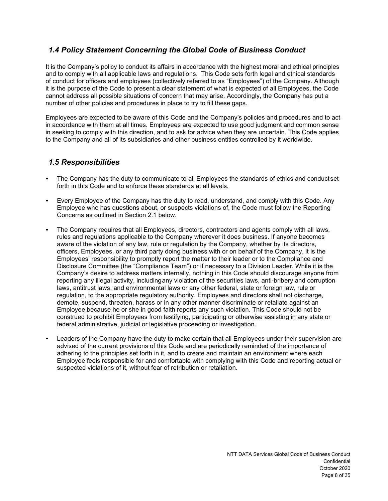### <span id="page-7-0"></span>*1.4 Policy Statement Concerning the Global Code of Business Conduct*

It is the Company's policy to conduct its affairs in accordance with the highest moral and ethical principles and to comply with all applicable laws and regulations. This Code sets forth legal and ethical standards of conduct for officers and employees (collectively referred to as "Employees") of the Company. Although it is the purpose of the Code to present a clear statement of what is expected of all Employees, the Code cannot address all possible situations of concern that may arise. Accordingly, the Company has put a number of other policies and procedures in place to try to fill these gaps.

Employees are expected to be aware of this Code and the Company's policies and procedures and to act in accordance with them at all times. Employees are expected to use good judgment and common sense in seeking to comply with this direction, and to ask for advice when they are uncertain. This Code applies to the Company and all of its subsidiaries and other business entities controlled by it worldwide.

### <span id="page-7-1"></span>*1.5 Responsibilities*

- The Company has the duty to communicate to all Employees the standards of ethics and conductset forth in this Code and to enforce these standards at all levels.
- Every Employee of the Company has the duty to read, understand, and comply with this Code. Any Employee who has questions about, or suspects violations of, the Code must follow the Reporting Concerns as outlined in Section 2.1 below.
- The Company requires that all Employees, directors, contractors and agents comply with all laws, rules and regulations applicable to the Company wherever it does business. If anyone becomes aware of the violation of any law, rule or regulation by the Company, whether by its directors, officers, Employees, or any third party doing business with or on behalf of the Company, it is the Employees' responsibility to promptly report the matter to their leader or to the Compliance and Disclosure Committee (the "Compliance Team") or if necessary to a Division Leader. While it is the Company's desire to address matters internally, nothing in this Code should discourage anyone from reporting any illegal activity, includingany violation of the securities laws, anti-bribery and corruption laws, antitrust laws, and environmental laws or any other federal, state or foreign law, rule or regulation, to the appropriate regulatory authority. Employees and directors shall not discharge, demote, suspend, threaten, harass or in any other manner discriminate or retaliate against an Employee because he or she in good faith reports any such violation. This Code should not be construed to prohibit Employees from testifying, participating or otherwise assisting in any state or federal administrative, judicial or legislative proceeding or investigation.
- Leaders of the Company have the duty to make certain that all Employees under their supervision are advised of the current provisions of this Code and are periodically reminded of the importance of adhering to the principles set forth in it, and to create and maintain an environment where each Employee feels responsible for and comfortable with complying with this Code and reporting actual or suspected violations of it, without fear of retribution or retaliation.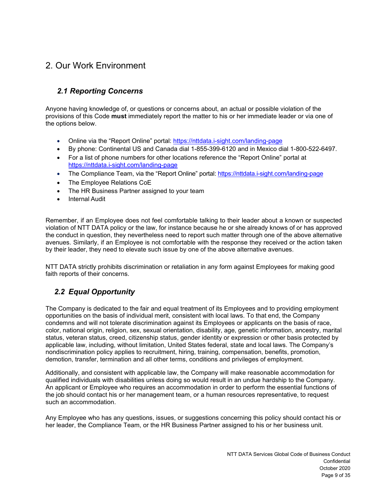# <span id="page-8-0"></span>2. Our Work Environment

## *2.1 Reporting Concerns*

<span id="page-8-1"></span>Anyone having knowledge of, or questions or concerns about, an actual or possible violation of the provisions of this Code **must** immediately report the matter to his or her immediate leader or via one of the options below.

- Online via the "Report Online" portal: <https://nttdata.i-sight.com/landing-page>
- By phone: Continental US and Canada dial 1-855-399-6120 and in Mexico dial 1-800-522-6497.
- For a list of phone numbers for other locations reference the "Report Online" portal at <https://nttdata.i-sight.com/landing-page>
- The Compliance Team, via the "Report Online" portal:<https://nttdata.i-sight.com/landing-page>
- The Employee Relations CoE
- The HR Business Partner assigned to your team
- **Internal Audit**

Remember, if an Employee does not feel comfortable talking to their leader about a known or suspected violation of NTT DATA policy or the law, for instance because he or she already knows of or has approved the conduct in question, they nevertheless need to report such matter through one of the above alternative avenues. Similarly, if an Employee is not comfortable with the response they received or the action taken by their leader, they need to elevate such issue by one of the above alternative avenues.

NTT DATA strictly prohibits discrimination or retaliation in any form against Employees for making good faith reports of their concerns.

## *2.2 Equal Opportunity*

<span id="page-8-2"></span>The Company is dedicated to the fair and equal treatment of its Employees and to providing employment opportunities on the basis of individual merit, consistent with local laws. To that end, the Company condemns and will not tolerate discrimination against its Employees or applicants on the basis of race, color, national origin, religion, sex, sexual orientation, disability, age, genetic information, ancestry, marital status, veteran status, creed, citizenship status, gender identity or expression or other basis protected by applicable law, including, without limitation, United States federal, state and local laws. The Company's nondiscrimination policy applies to recruitment, hiring, training, compensation, benefits, promotion, demotion, transfer, termination and all other terms, conditions and privileges of employment.

Additionally, and consistent with applicable law, the Company will make reasonable accommodation for qualified individuals with disabilities unless doing so would result in an undue hardship to the Company. An applicant or Employee who requires an accommodation in order to perform the essential functions of the job should contact his or her management team, or a human resources representative, to request such an accommodation.

Any Employee who has any questions, issues, or suggestions concerning this policy should contact his or her leader, the Compliance Team, or the HR Business Partner assigned to his or her business unit.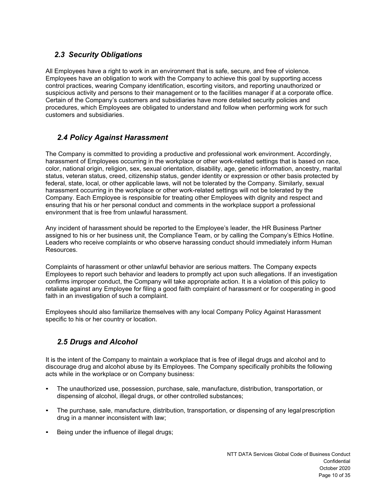## *2.3 Security Obligations*

<span id="page-9-0"></span>All Employees have a right to work in an environment that is safe, secure, and free of violence. Employees have an obligation to work with the Company to achieve this goal by supporting access control practices, wearing Company identification, escorting visitors, and reporting unauthorized or suspicious activity and persons to their management or to the facilities manager if at a corporate office. Certain of the Company's customers and subsidiaries have more detailed security policies and procedures, which Employees are obligated to understand and follow when performing work for such customers and subsidiaries.

### *2.4 Policy Against Harassment*

<span id="page-9-1"></span>The Company is committed to providing a productive and professional work environment. Accordingly, harassment of Employees occurring in the workplace or other work-related settings that is based on race, color, national origin, religion, sex, sexual orientation, disability, age, genetic information, ancestry, marital status, veteran status, creed, citizenship status, gender identity or expression or other basis protected by federal, state, local, or other applicable laws, will not be tolerated by the Company. Similarly, sexual harassment occurring in the workplace or other work-related settings will not be tolerated by the Company. Each Employee is responsible for treating other Employees with dignity and respect and ensuring that his or her personal conduct and comments in the workplace support a professional environment that is free from unlawful harassment.

Any incident of harassment should be reported to the Employee's leader, the HR Business Partner assigned to his or her business unit, the Compliance Team, or by calling the Company's Ethics Hotline. Leaders who receive complaints or who observe harassing conduct should immediately inform Human Resources.

Complaints of harassment or other unlawful behavior are serious matters. The Company expects Employees to report such behavior and leaders to promptly act upon such allegations. If an investigation confirms improper conduct, the Company will take appropriate action. It is a violation of this policy to retaliate against any Employee for filing a good faith complaint of harassment or for cooperating in good faith in an investigation of such a complaint.

Employees should also familiarize themselves with any local Company Policy Against Harassment specific to his or her country or location.

## *2.5 Drugs and Alcohol*

<span id="page-9-2"></span>It is the intent of the Company to maintain a workplace that is free of illegal drugs and alcohol and to discourage drug and alcohol abuse by its Employees. The Company specifically prohibits the following acts while in the workplace or on Company business:

- The unauthorized use, possession, purchase, sale, manufacture, distribution, transportation, or dispensing of alcohol, illegal drugs, or other controlled substances;
- The purchase, sale, manufacture, distribution, transportation, or dispensing of any legal prescription drug in a manner inconsistent with law;
- Being under the influence of illegal drugs;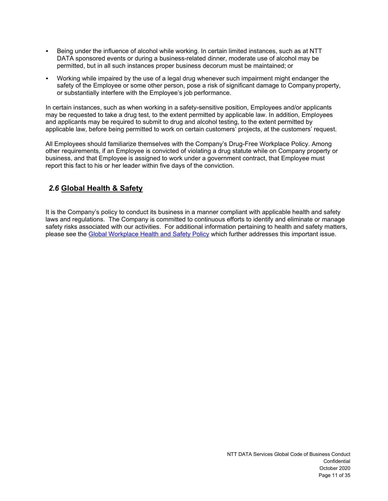- Being under the influence of alcohol while working. In certain limited instances, such as at NTT DATA sponsored events or during a business-related dinner, moderate use of alcohol may be permitted, but in all such instances proper business decorum must be maintained; or
- Working while impaired by the use of a legal drug whenever such impairment might endanger the safety of the Employee or some other person, pose a risk of significant damage to Companyproperty, or substantially interfere with the Employee's job performance.

In certain instances, such as when working in a safety-sensitive position, Employees and/or applicants may be requested to take a drug test, to the extent permitted by applicable law. In addition, Employees and applicants may be required to submit to drug and alcohol testing, to the extent permitted by applicable law, before being permitted to work on certain customers' projects, at the customers' request.

All Employees should familiarize themselves with the Company's Drug-Free Workplace Policy. Among other requirements, if an Employee is convicted of violating a drug statute while on Company property or business, and that Employee is assigned to work under a government contract, that Employee must report this fact to his or her leader within five days of the conviction.

## *2.6* **Global Health & Safety**

It is the Company's policy to conduct its business in a manner compliant with applicable health and safety laws and regulations. The Company is committed to continuous efforts to identify and eliminate or manage safety risks associated with our activities. For additional information pertaining to health and safety matters, please see the [Global Workplace Health and Safety Policy](https://nttdatagroup.sharepoint.com/sites/SRVS-HCM/Shared%20Documents/Additional%20Policies/Global%20Health%20and%20Safety%20Policy.pdf) which further addresses this important issue.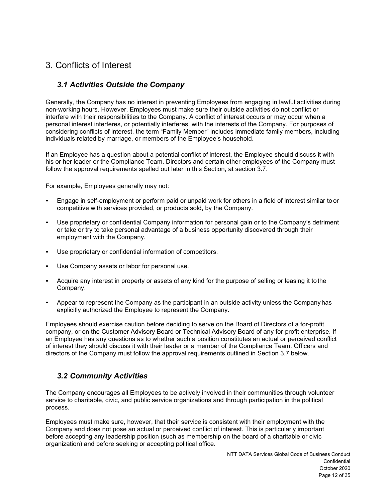# <span id="page-11-0"></span>3. Conflicts of Interest

### *3.1 Activities Outside the Company*

<span id="page-11-1"></span>Generally, the Company has no interest in preventing Employees from engaging in lawful activities during non-working hours. However, Employees must make sure their outside activities do not conflict or interfere with their responsibilities to the Company. A conflict of interest occurs or may occur when a personal interest interferes, or potentially interferes, with the interests of the Company. For purposes of considering conflicts of interest, the term "Family Member" includes immediate family members, including individuals related by marriage, or members of the Employee's household.

If an Employee has a question about a potential conflict of interest, the Employee should discuss it with his or her leader or the Compliance Team. Directors and certain other employees of the Company must follow the approval requirements spelled out later in this Section, at section 3.7.

For example, Employees generally may not:

- Engage in self-employment or perform paid or unpaid work for others in a field of interest similar to or competitive with services provided, or products sold, by the Company.
- Use proprietary or confidential Company information for personal gain or to the Company's detriment or take or try to take personal advantage of a business opportunity discovered through their employment with the Company.
- Use proprietary or confidential information of competitors.
- Use Company assets or labor for personal use.
- Acquire any interest in property or assets of any kind for the purpose of selling or leasing it to the Company.
- Appear to represent the Company as the participant in an outside activity unless the Company has explicitly authorized the Employee to represent the Company.

Employees should exercise caution before deciding to serve on the Board of Directors of a for-profit company, or on the Customer Advisory Board or Technical Advisory Board of any for-profit enterprise. If an Employee has any questions as to whether such a position constitutes an actual or perceived conflict of interest they should discuss it with their leader or a member of the Compliance Team. Officers and directors of the Company must follow the approval requirements outlined in Section 3.7 below.

### *3.2 Community Activities*

<span id="page-11-2"></span>The Company encourages all Employees to be actively involved in their communities through volunteer service to charitable, civic, and public service organizations and through participation in the political process.

Employees must make sure, however, that their service is consistent with their employment with the Company and does not pose an actual or perceived conflict of interest. This is particularly important before accepting any leadership position (such as membership on the board of a charitable or civic organization) and before seeking or accepting political office.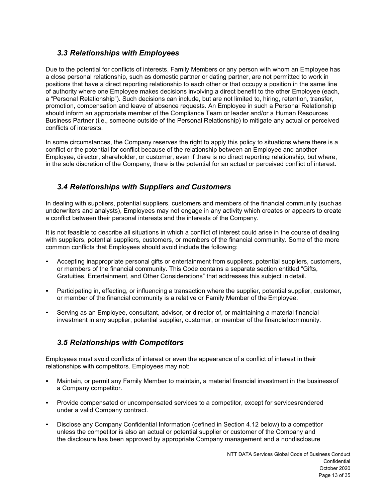### *3.3 Relationships with Employees*

<span id="page-12-0"></span>Due to the potential for conflicts of interests, Family Members or any person with whom an Employee has a close personal relationship, such as domestic partner or dating partner, are not permitted to work in positions that have a direct reporting relationship to each other or that occupy a position in the same line of authority where one Employee makes decisions involving a direct benefit to the other Employee (each, a "Personal Relationship"). Such decisions can include, but are not limited to, hiring, retention, transfer, promotion, compensation and leave of absence requests. An Employee in such a Personal Relationship should inform an appropriate member of the Compliance Team or leader and/or a Human Resources Business Partner (i.e., someone outside of the Personal Relationship) to mitigate any actual or perceived conflicts of interests.

In some circumstances, the Company reserves the right to apply this policy to situations where there is a conflict or the potential for conflict because of the relationship between an Employee and another Employee, director, shareholder, or customer, even if there is no direct reporting relationship, but where, in the sole discretion of the Company, there is the potential for an actual or perceived conflict of interest.

### *3.4 Relationships with Suppliers and Customers*

<span id="page-12-1"></span>In dealing with suppliers, potential suppliers, customers and members of the financial community (suchas underwriters and analysts), Employees may not engage in any activity which creates or appears to create a conflict between their personal interests and the interests of the Company.

It is not feasible to describe all situations in which a conflict of interest could arise in the course of dealing with suppliers, potential suppliers, customers, or members of the financial community. Some of the more common conflicts that Employees should avoid include the following:

- Accepting inappropriate personal gifts or entertainment from suppliers, potential suppliers, customers, or members of the financial community. This Code contains a separate section entitled "Gifts, Gratuities, Entertainment, and Other Considerations" that addresses this subject in detail.
- Participating in, effecting, or influencing a transaction where the supplier, potential supplier, customer, or member of the financial community is a relative or Family Member of the Employee.
- Serving as an Employee, consultant, advisor, or director of, or maintaining a material financial investment in any supplier, potential supplier, customer, or member of the financial community.

### *3.5 Relationships with Competitors*

<span id="page-12-2"></span>Employees must avoid conflicts of interest or even the appearance of a conflict of interest in their relationships with competitors. Employees may not:

- Maintain, or permit any Family Member to maintain, a material financial investment in the business of a Company competitor.
- Provide compensated or uncompensated services to a competitor, except for servicesrendered under a valid Company contract.
- Disclose any Company Confidential Information (defined in Section 4.12 below) to a competitor unless the competitor is also an actual or potential supplier or customer of the Company and the disclosure has been approved by appropriate Company management and a nondisclosure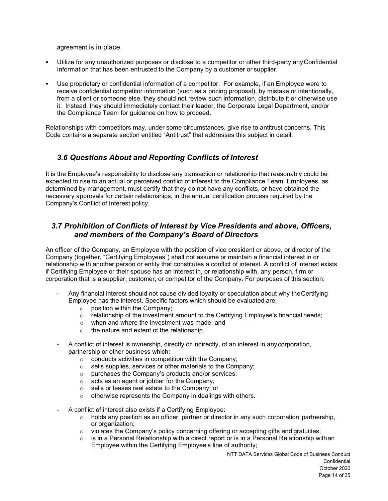agreement is in place.

- Utilize for any unauthorized purposes or disclose to a competitor or other third-party any Confidential Information that has been entrusted to the Company by a customer or supplier.
- Use proprietary or confidential information of a competitor. For example, if an Employee were to receive confidential competitor information (such as a pricing proposal), by mistake or intentionally, from a client or someone else, they should not review such information, distribute it or otherwise use it. Instead, they should immediately contact their leader, the Corporate Legal Department, and/or the Compliance Team for guidance on how to proceed.

Relationships with competitors may, under some circumstances, give rise to antitrust concerns. This Code contains a separate section entitled "Antitrust" that addresses this subject in detail.

### *3.6 Questions About and Reporting Conflicts of Interest*

<span id="page-13-0"></span>It is the Employee's responsibility to disclose any transaction or relationship that reasonably could be expected to rise to an actual or perceived conflict of interest to the Compliance Team. Employees, as determined by management, must certify that they do not have any conflicts, or have obtained the necessary approvals for certain relationships, in the annual certification process required by the Company's Conflict of Interest policy.

### *3.7 Prohibition of Conflicts of Interest by Vice Presidents and above, Officers, and members of the Company's Board of Directors*

<span id="page-13-1"></span>An officer of the Company, an Employee with the position of vice president or above, or director of the Company (together, "Certifying Employees") shall not assume or maintain a financial interest in or relationship with another person or entity that constitutes a conflict of interest. A conflict of interest exists if Certifying Employee or their spouse has an interest in, or relationship with, any person, firm or corporation that is a supplier, customer, or competitor of the Company. For purposes of this section:

- Any financial interest should not cause divided loyalty or speculation about why theCertifying Employee has the interest. Specific factors which should be evaluated are:
	- o position within the Company;
	- $\circ$  relationship of the investment amount to the Certifying Employee's financial needs;
	- o when and where the investment was made; and
	- o the nature and extent of the relationship.
- A conflict of interest is ownership, directly or indirectly, of an interest in any corporation, partnership or other business which:
	- o conducts activities in competition with the Company;
	- o sells supplies, services or other materials to the Company;
	- o purchases the Company's products and/or services;
	- o acts as an agent or jobber for the Company;
	- o sells or leases real estate to the Company; or
	- $\circ$  otherwise represents the Company in dealings with others.
- A conflict of interest also exists if a Certifying Employee:
	- $\circ$  holds any position as an officer, partner or director in any such corporation, partnership, or organization;
	- $\circ$  violates the Company's policy concerning offering or accepting gifts and gratuities;<br>  $\circ$  is in a Personal Relationship with a direct report or is in a Personal Relationship wi
	- is in a Personal Relationship with a direct report or is in a Personal Relationship withan Employee within the Certifying Employee's line of authority;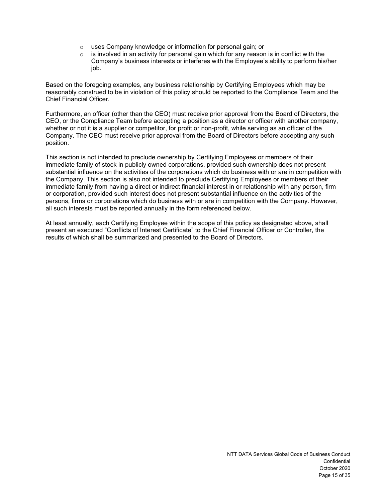- o uses Company knowledge or information for personal gain; or o is involved in an activity for personal gain which for any reasor
- is involved in an activity for personal gain which for any reason is in conflict with the Company's business interests or interferes with the Employee's ability to perform his/her job.

Based on the foregoing examples, any business relationship by Certifying Employees which may be reasonably construed to be in violation of this policy should be reported to the Compliance Team and the Chief Financial Officer.

Furthermore, an officer (other than the CEO) must receive prior approval from the Board of Directors, the CEO, or the Compliance Team before accepting a position as a director or officer with another company, whether or not it is a supplier or competitor, for profit or non-profit, while serving as an officer of the Company. The CEO must receive prior approval from the Board of Directors before accepting any such position.

This section is not intended to preclude ownership by Certifying Employees or members of their immediate family of stock in publicly owned corporations, provided such ownership does not present substantial influence on the activities of the corporations which do business with or are in competition with the Company. This section is also not intended to preclude Certifying Employees or members of their immediate family from having a direct or indirect financial interest in or relationship with any person, firm or corporation, provided such interest does not present substantial influence on the activities of the persons, firms or corporations which do business with or are in competition with the Company. However, all such interests must be reported annually in the form referenced below.

At least annually, each Certifying Employee within the scope of this policy as designated above, shall present an executed "Conflicts of Interest Certificate" to the Chief Financial Officer or Controller, the results of which shall be summarized and presented to the Board of Directors.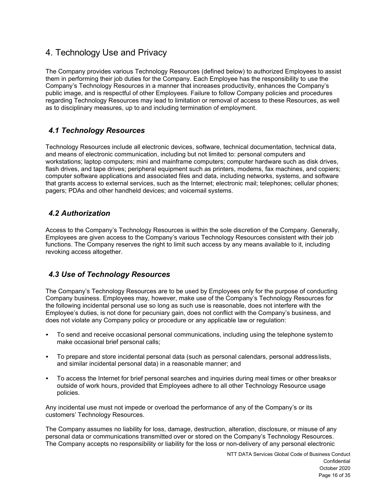## <span id="page-15-0"></span>4. Technology Use and Privacy

The Company provides various Technology Resources (defined below) to authorized Employees to assist them in performing their job duties for the Company. Each Employee has the responsibility to use the Company's Technology Resources in a manner that increases productivity, enhances the Company's public image, and is respectful of other Employees. Failure to follow Company policies and procedures regarding Technology Resources may lead to limitation or removal of access to these Resources, as well as to disciplinary measures, up to and including termination of employment.

## <span id="page-15-1"></span>*4.1 Technology Resources*

Technology Resources include all electronic devices, software, technical documentation, technical data, and means of electronic communication, including but not limited to: personal computers and workstations; laptop computers; mini and mainframe computers; computer hardware such as disk drives, flash drives, and tape drives; peripheral equipment such as printers, modems, fax machines, and copiers; computer software applications and associated files and data, including networks, systems, and software that grants access to external services, such as the Internet; electronic mail; telephones; cellular phones; pagers; PDAs and other handheld devices; and voicemail systems.

## <span id="page-15-2"></span>*4.2 Authorization*

Access to the Company's Technology Resources is within the sole discretion of the Company. Generally, Employees are given access to the Company's various Technology Resources consistent with their job functions. The Company reserves the right to limit such access by any means available to it, including revoking access altogether.

## <span id="page-15-3"></span>*4.3 Use of Technology Resources*

The Company's Technology Resources are to be used by Employees only for the purpose of conducting Company business. Employees may, however, make use of the Company's Technology Resources for the following incidental personal use so long as such use is reasonable, does not interfere with the Employee's duties, is not done for pecuniary gain, does not conflict with the Company's business, and does not violate any Company policy or procedure or any applicable law or regulation:

- To send and receive occasional personal communications, including using the telephone system to make occasional brief personal calls;
- To prepare and store incidental personal data (such as personal calendars, personal addresslists, and similar incidental personal data) in a reasonable manner; and
- To access the Internet for brief personal searches and inquiries during meal times or other breaksor outside of work hours, provided that Employees adhere to all other Technology Resource usage policies.

Any incidental use must not impede or overload the performance of any of the Company's or its customers' Technology Resources.

The Company assumes no liability for loss, damage, destruction, alteration, disclosure, or misuse of any personal data or communications transmitted over or stored on the Company's Technology Resources. The Company accepts no responsibility or liability for the loss or non-delivery of any personal electronic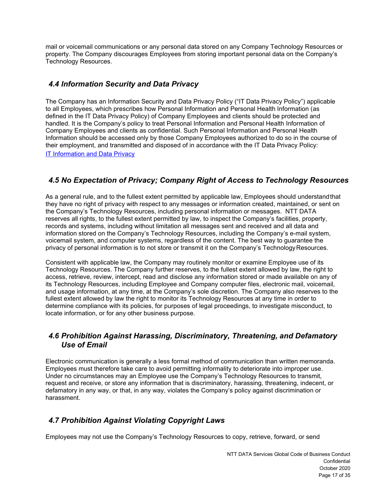mail or voicemail communications or any personal data stored on any Company Technology Resources or property. The Company discourages Employees from storing important personal data on the Company's Technology Resources.

### <span id="page-16-0"></span>*4.4 Information Security and Data Privacy*

The Company has an Information Security and Data Privacy Policy ("IT Data Privacy Policy") applicable to all Employees, which prescribes how Personal Information and Personal Health Information (as defined in the IT Data Privacy Policy) of Company Employees and clients should be protected and handled. It is the Company's policy to treat Personal Information and Personal Health Information of Company Employees and clients as confidential. Such Personal Information and Personal Health Information should be accessed only by those Company Employees authorized to do so in the course of their employment, and transmitted and disposed of in accordance with the IT Data Privacy Policy: [IT Information and Data Privacy](https://portal.nttdataservices.com/support/IT/Infosec/Pages/Infosec_Policy.aspx)

## <span id="page-16-1"></span>*4.5 No Expectation of Privacy; Company Right of Access to Technology Resources*

As a general rule, and to the fullest extent permitted by applicable law, Employees should understandthat they have no right of privacy with respect to any messages or information created, maintained, or sent on the Company's Technology Resources, including personal information or messages. NTT DATA reserves all rights, to the fullest extent permitted by law, to inspect the Company's facilities, property, records and systems, including without limitation all messages sent and received and all data and information stored on the Company's Technology Resources, including the Company's e-mail system, voicemail system, and computer systems, regardless of the content. The best way to guarantee the privacy of personal information is to not store or transmit it on the Company's Technology Resources.

Consistent with applicable law, the Company may routinely monitor or examine Employee use of its Technology Resources. The Company further reserves, to the fullest extent allowed by law, the right to access, retrieve, review, intercept, read and disclose any information stored or made available on any of its Technology Resources, including Employee and Company computer files, electronic mail, voicemail, and usage information, at any time, at the Company's sole discretion. The Company also reserves to the fullest extent allowed by law the right to monitor its Technology Resources at any time in order to determine compliance with its policies, for purposes of legal proceedings, to investigate misconduct, to locate information, or for any other business purpose.

#### <span id="page-16-2"></span>*4.6 Prohibition Against Harassing, Discriminatory, Threatening, and Defamatory Use of Email*

Electronic communication is generally a less formal method of communication than written memoranda. Employees must therefore take care to avoid permitting informality to deteriorate into improper use. Under no circumstances may an Employee use the Company's Technology Resources to transmit, request and receive, or store any information that is discriminatory, harassing, threatening, indecent, or defamatory in any way, or that, in any way, violates the Company's policy against discrimination or harassment.

## <span id="page-16-3"></span>*4.7 Prohibition Against Violating Copyright Laws*

Employees may not use the Company's Technology Resources to copy, retrieve, forward, or send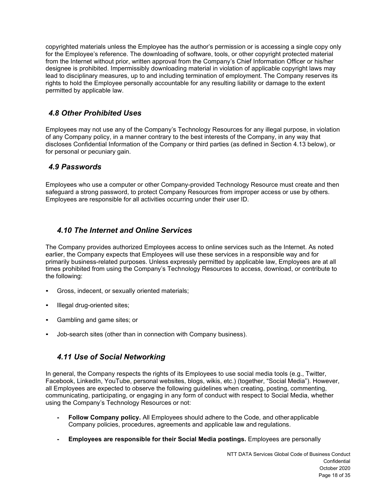copyrighted materials unless the Employee has the author's permission or is accessing a single copy only for the Employee's reference. The downloading of software, tools, or other copyright protected material from the Internet without prior, written approval from the Company's Chief Information Officer or his/her designee is prohibited. Impermissibly downloading material in violation of applicable copyright laws may lead to disciplinary measures, up to and including termination of employment. The Company reserves its rights to hold the Employee personally accountable for any resulting liability or damage to the extent permitted by applicable law.

### <span id="page-17-0"></span>*4.8 Other Prohibited Uses*

Employees may not use any of the Company's Technology Resources for any illegal purpose, in violation of any Company policy, in a manner contrary to the best interests of the Company, in any way that discloses Confidential Information of the Company or third parties (as defined in Section 4.13 below), or for personal or pecuniary gain.

### <span id="page-17-1"></span>*4.9 Passwords*

Employees who use a computer or other Company-provided Technology Resource must create and then safeguard a strong password, to protect Company Resources from improper access or use by others. Employees are responsible for all activities occurring under their user ID.

### *4.10 The Internet and Online Services*

<span id="page-17-2"></span>The Company provides authorized Employees access to online services such as the Internet. As noted earlier, the Company expects that Employees will use these services in a responsible way and for primarily business-related purposes. Unless expressly permitted by applicable law, Employees are at all times prohibited from using the Company's Technology Resources to access, download, or contribute to the following:

- Gross, indecent, or sexually oriented materials;
- Illegal drug-oriented sites;
- Gambling and game sites; or
- Job-search sites (other than in connection with Company business).

### *4.11 Use of Social Networking*

<span id="page-17-3"></span>In general, the Company respects the rights of its Employees to use social media tools (e.g., Twitter, Facebook, LinkedIn, YouTube, personal websites, blogs, wikis, etc.) (together, "Social Media"). However, all Employees are expected to observe the following guidelines when creating, posting, commenting, communicating, participating, or engaging in any form of conduct with respect to Social Media, whether using the Company's Technology Resources or not:

- **- Follow Company policy.** All Employees should adhere to the Code, and other applicable Company policies, procedures, agreements and applicable law and regulations.
- **- Employees are responsible for their Social Media postings.** Employees are personally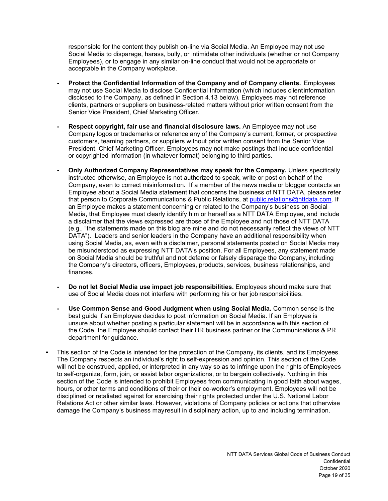responsible for the content they publish on-line via Social Media. An Employee may not use Social Media to disparage, harass, bully, or intimidate other individuals (whether or not Company Employees), or to engage in any similar on-line conduct that would not be appropriate or acceptable in the Company workplace.

- **- Protect the Confidential Information of the Company and of Company clients.** Employees may not use Social Media to disclose Confidential Information (which includes clientinformation disclosed to the Company, as defined in Section 4.13 below). Employees may not reference clients, partners or suppliers on business-related matters without prior written consent from the Senior Vice President, Chief Marketing Officer.
- **- Respect copyright, fair use and financial disclosure laws.** An Employee may not use Company logos or trademarks or reference any of the Company's current, former, or prospective customers, teaming partners, or suppliers without prior written consent from the Senior Vice President, Chief Marketing Officer. Employees may not make postings that include confidential or copyrighted information (in whatever format) belonging to third parties.
- **- Only Authorized Company Representatives may speak for the Company.** Unless specifically instructed otherwise, an Employee is not authorized to speak, write or post on behalf of the Company, even to correct misinformation. If a member of the news media or blogger contacts an Employee about a Social Media statement that concerns the business of NTT DATA, please refer that person to Corporate Communications & Public Relations, at [public.relations@nttdata.com.](mailto:public.relations@nttdata.com) If an Employee makes a statement concerning or related to the Company's business on Social Media, that Employee must clearly identify him or herself as a NTT DATA Employee, and include a disclaimer that the views expressed are those of the Employee and not those of NTT DATA (e.g., "the statements made on this blog are mine and do not necessarily reflect the views of NTT DATA"). Leaders and senior leaders in the Company have an additional responsibility when using Social Media, as, even with a disclaimer, personal statements posted on Social Media may be misunderstood as expressing NTT DATA's position. For all Employees, any statement made on Social Media should be truthful and not defame or falsely disparage the Company, including the Company's directors, officers, Employees, products, services, business relationships, and finances.
- **- Do not let Social Media use impact job responsibilities.** Employees should make sure that use of Social Media does not interfere with performing his or her job responsibilities.
- **- Use Common Sense and Good Judgment when using Social Media.** Common sense is the best guide if an Employee decides to post information on Social Media. If an Employee is unsure about whether posting a particular statement will be in accordance with this section of the Code, the Employee should contact their HR business partner or the Communications & PR department for guidance.
- <span id="page-18-0"></span>This section of the Code is intended for the protection of the Company, its clients, and its Employees. The Company respects an individual's right to self-expression and opinion. This section of the Code will not be construed, applied, or interpreted in any way so as to infringe upon the rights ofEmployees to self-organize, form, join, or assist labor organizations, or to bargain collectively. Nothing in this section of the Code is intended to prohibit Employees from communicating in good faith about wages, hours, or other terms and conditions of their or their co-worker's employment. Employees will not be disciplined or retaliated against for exercising their rights protected under the U.S. National Labor Relations Act or other similar laws. However, violations of Company policies or actions that otherwise damage the Company's business mayresult in disciplinary action, up to and including termination.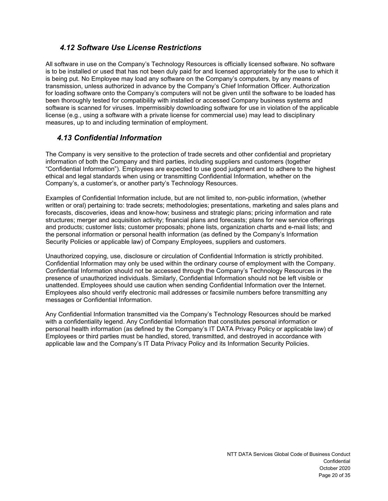## *4.12 Software Use License Restrictions*

All software in use on the Company's Technology Resources is officially licensed software. No software is to be installed or used that has not been duly paid for and licensed appropriately for the use to which it is being put. No Employee may load any software on the Company's computers, by any means of transmission, unless authorized in advance by the Company's Chief Information Officer. Authorization for loading software onto the Company's computers will not be given until the software to be loaded has been thoroughly tested for compatibility with installed or accessed Company business systems and software is scanned for viruses. Impermissibly downloading software for use in violation of the applicable license (e.g., using a software with a private license for commercial use) may lead to disciplinary measures, up to and including termination of employment.

### *4.13 Confidential Information*

<span id="page-19-0"></span>The Company is very sensitive to the protection of trade secrets and other confidential and proprietary information of both the Company and third parties, including suppliers and customers (together "Confidential Information"). Employees are expected to use good judgment and to adhere to the highest ethical and legal standards when using or transmitting Confidential Information, whether on the Company's, a customer's, or another party's Technology Resources.

Examples of Confidential Information include, but are not limited to, non-public information, (whether written or oral) pertaining to: trade secrets; methodologies; presentations, marketing and sales plans and forecasts, discoveries, ideas and know-how; business and strategic plans; pricing information and rate structures; merger and acquisition activity; financial plans and forecasts; plans for new service offerings and products; customer lists; customer proposals; phone lists, organization charts and e-mail lists; and the personal information or personal health information (as defined by the Company's Information Security Policies or applicable law) of Company Employees, suppliers and customers.

Unauthorized copying, use, disclosure or circulation of Confidential Information is strictly prohibited. Confidential Information may only be used within the ordinary course of employment with the Company. Confidential Information should not be accessed through the Company's Technology Resources in the presence of unauthorized individuals. Similarly, Confidential Information should not be left visible or unattended. Employees should use caution when sending Confidential Information over the Internet. Employees also should verify electronic mail addresses or facsimile numbers before transmitting any messages or Confidential Information.

Any Confidential Information transmitted via the Company's Technology Resources should be marked with a confidentiality legend. Any Confidential Information that constitutes personal information or personal health information (as defined by the Company's IT DATA Privacy Policy or applicable law) of Employees or third parties must be handled, stored, transmitted, and destroyed in accordance with applicable law and the Company's IT Data Privacy Policy and its Information Security Policies.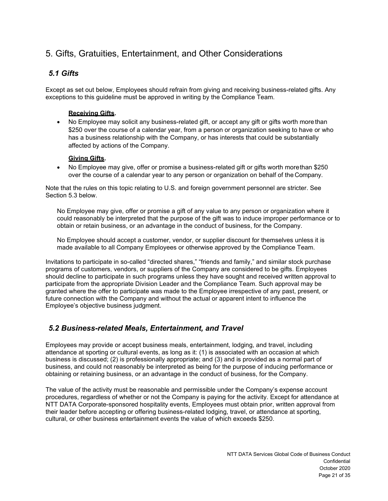# <span id="page-20-0"></span>5. Gifts, Gratuities, Entertainment, and Other Considerations

## <span id="page-20-1"></span>*5.1 Gifts*

Except as set out below, Employees should refrain from giving and receiving business-related gifts. Any exceptions to this guideline must be approved in writing by the Compliance Team.

#### **Receiving Gifts.**

• No Employee may solicit any business-related gift, or accept any gift or gifts worth more than \$250 over the course of a calendar year, from a person or organization seeking to have or who has a business relationship with the Company, or has interests that could be substantially affected by actions of the Company.

#### **Giving Gifts.**

• No Employee may give, offer or promise a business-related gift or gifts worth morethan \$250 over the course of a calendar year to any person or organization on behalf of the Company.

Note that the rules on this topic relating to U.S. and foreign government personnel are stricter. See Section 5.3 below.

No Employee may give, offer or promise a gift of any value to any person or organization where it could reasonably be interpreted that the purpose of the gift was to induce improper performance or to obtain or retain business, or an advantage in the conduct of business, for the Company.

No Employee should accept a customer, vendor, or supplier discount for themselves unless it is made available to all Company Employees or otherwise approved by the Compliance Team.

Invitations to participate in so-called "directed shares," "friends and family," and similar stock purchase programs of customers, vendors, or suppliers of the Company are considered to be gifts. Employees should decline to participate in such programs unless they have sought and received written approval to participate from the appropriate Division Leader and the Compliance Team. Such approval may be granted where the offer to participate was made to the Employee irrespective of any past, present, or future connection with the Company and without the actual or apparent intent to influence the Employee's objective business judgment.

### <span id="page-20-2"></span>*5.2 Business-related Meals, Entertainment, and Travel*

Employees may provide or accept business meals, entertainment, lodging, and travel, including attendance at sporting or cultural events, as long as it: (1) is associated with an occasion at which business is discussed; (2) is professionally appropriate; and (3) and is provided as a normal part of business, and could not reasonably be interpreted as being for the purpose of inducing performance or obtaining or retaining business, or an advantage in the conduct of business, for the Company.

The value of the activity must be reasonable and permissible under the Company's expense account procedures, regardless of whether or not the Company is paying for the activity. Except for attendance at NTT DATA Corporate-sponsored hospitality events, Employees must obtain prior, written approval from their leader before accepting or offering business-related lodging, travel, or attendance at sporting, cultural, or other business entertainment events the value of which exceeds \$250.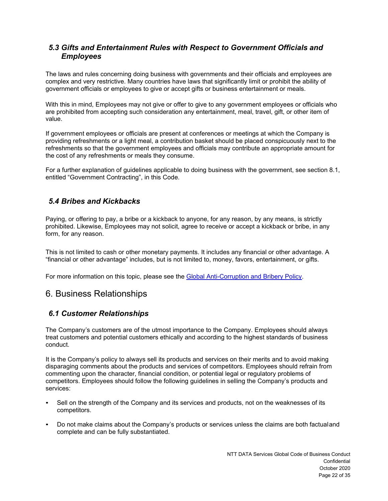### <span id="page-21-0"></span>*5.3 Gifts and Entertainment Rules with Respect to Government Officials and Employees*

The laws and rules concerning doing business with governments and their officials and employees are complex and very restrictive. Many countries have laws that significantly limit or prohibit the ability of government officials or employees to give or accept gifts or business entertainment or meals.

With this in mind, Employees may not give or offer to give to any government employees or officials who are prohibited from accepting such consideration any entertainment, meal, travel, gift, or other item of value.

If government employees or officials are present at conferences or meetings at which the Company is providing refreshments or a light meal, a contribution basket should be placed conspicuously next to the refreshments so that the government employees and officials may contribute an appropriate amount for the cost of any refreshments or meals they consume.

For a further explanation of guidelines applicable to doing business with the government, see section 8.1, entitled "Government Contracting", in this Code.

### <span id="page-21-1"></span>*5.4 Bribes and Kickbacks*

Paying, or offering to pay, a bribe or a kickback to anyone, for any reason, by any means, is strictly prohibited. Likewise, Employees may not solicit, agree to receive or accept a kickback or bribe, in any form, for any reason.

This is not limited to cash or other monetary payments. It includes any financial or other advantage. A "financial or other advantage" includes, but is not limited to, money, favors, entertainment, or gifts.

For more information on this topic, please see the [Global Anti-Corruption and Bribery Policy.](https://nttdatagroup.sharepoint.com/sites/SRVS-HCM/Shared%20Documents/Additional%20Policies/Global%20Anti-Corruption%20and%20Bribery%20Policy%20.pdf)

## <span id="page-21-2"></span>6. Business Relationships

### <span id="page-21-3"></span>*6.1 Customer Relationships*

The Company's customers are of the utmost importance to the Company. Employees should always treat customers and potential customers ethically and according to the highest standards of business conduct.

It is the Company's policy to always sell its products and services on their merits and to avoid making disparaging comments about the products and services of competitors. Employees should refrain from commenting upon the character, financial condition, or potential legal or regulatory problems of competitors. Employees should follow the following guidelines in selling the Company's products and services:

- Sell on the strength of the Company and its services and products, not on the weaknesses of its competitors.
- Do not make claims about the Company's products or services unless the claims are both factualand complete and can be fully substantiated.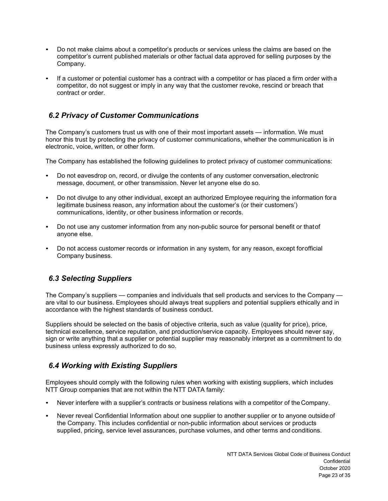- Do not make claims about a competitor's products or services unless the claims are based on the competitor's current published materials or other factual data approved for selling purposes by the Company.
- If a customer or potential customer has a contract with a competitor or has placed a firm order with a competitor, do not suggest or imply in any way that the customer revoke, rescind or breach that contract or order.

### <span id="page-22-0"></span>*6.2 Privacy of Customer Communications*

The Company's customers trust us with one of their most important assets — information. We must honor this trust by protecting the privacy of customer communications, whether the communication is in electronic, voice, written, or other form.

The Company has established the following guidelines to protect privacy of customer communications:

- Do not eavesdrop on, record, or divulge the contents of any customer conversation, electronic message, document, or other transmission. Never let anyone else do so.
- Do not divulge to any other individual, except an authorized Employee requiring the information for a legitimate business reason, any information about the customer's (or their customers') communications, identity, or other business information or records.
- Do not use any customer information from any non-public source for personal benefit or thatof anyone else.
- Do not access customer records or information in any system, for any reason, except forofficial Company business.

## <span id="page-22-1"></span>*6.3 Selecting Suppliers*

The Company's suppliers — companies and individuals that sell products and services to the Company are vital to our business. Employees should always treat suppliers and potential suppliers ethically and in accordance with the highest standards of business conduct.

Suppliers should be selected on the basis of objective criteria, such as value (quality for price), price, technical excellence, service reputation, and production/service capacity. Employees should never say, sign or write anything that a supplier or potential supplier may reasonably interpret as a commitment to do business unless expressly authorized to do so.

## <span id="page-22-2"></span>*6.4 Working with Existing Suppliers*

Employees should comply with the following rules when working with existing suppliers, which includes NTT Group companies that are not within the NTT DATA family:

- Never interfere with a supplier's contracts or business relations with a competitor of the Company.
- Never reveal Confidential Information about one supplier to another supplier or to anyone outside of the Company. This includes confidential or non-public information about services or products supplied, pricing, service level assurances, purchase volumes, and other terms and conditions.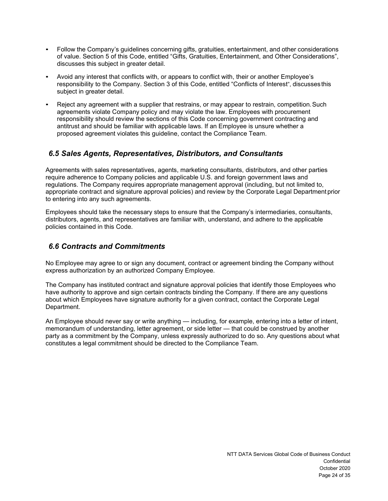- Follow the Company's guidelines concerning gifts, gratuities, entertainment, and other considerations of value. Section 5 of this Code, entitled "Gifts, Gratuities, Entertainment, and Other Considerations", discusses this subject in greater detail.
- Avoid any interest that conflicts with, or appears to conflict with, their or another Employee's responsibility to the Company. Section 3 of this Code, entitled "Conflicts of Interest", discusses this subject in greater detail.
- Reject any agreement with a supplier that restrains, or may appear to restrain, competition. Such agreements violate Company policy and may violate the law. Employees with procurement responsibility should review the sections of this Code concerning government contracting and antitrust and should be familiar with applicable laws. If an Employee is unsure whether a proposed agreement violates this guideline, contact the Compliance Team.

### <span id="page-23-0"></span>*6.5 Sales Agents, Representatives, Distributors, and Consultants*

Agreements with sales representatives, agents, marketing consultants, distributors, and other parties require adherence to Company policies and applicable U.S. and foreign government laws and regulations. The Company requires appropriate management approval (including, but not limited to, appropriate contract and signature approval policies) and review by the Corporate Legal Department prior to entering into any such agreements.

Employees should take the necessary steps to ensure that the Company's intermediaries, consultants, distributors, agents, and representatives are familiar with, understand, and adhere to the applicable policies contained in this Code.

### <span id="page-23-1"></span>*6.6 Contracts and Commitments*

No Employee may agree to or sign any document, contract or agreement binding the Company without express authorization by an authorized Company Employee.

The Company has instituted contract and signature approval policies that identify those Employees who have authority to approve and sign certain contracts binding the Company. If there are any questions about which Employees have signature authority for a given contract, contact the Corporate Legal Department.

An Employee should never say or write anything — including, for example, entering into a letter of intent, memorandum of understanding, letter agreement, or side letter — that could be construed by another party as a commitment by the Company, unless expressly authorized to do so. Any questions about what constitutes a legal commitment should be directed to the Compliance Team.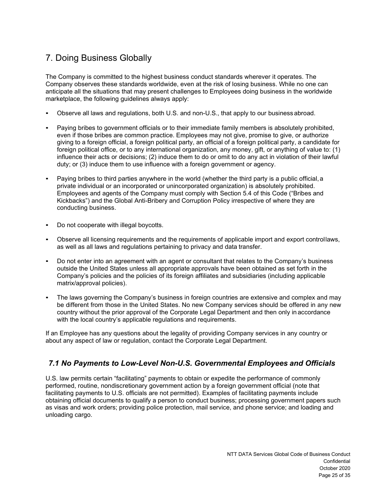# <span id="page-24-0"></span>7. Doing Business Globally

The Company is committed to the highest business conduct standards wherever it operates. The Company observes these standards worldwide, even at the risk of losing business. While no one can anticipate all the situations that may present challenges to Employees doing business in the worldwide marketplace, the following guidelines always apply:

- Observe all laws and regulations, both U.S. and non-U.S., that apply to our business abroad.
- Paying bribes to government officials or to their immediate family members is absolutely prohibited, even if those bribes are common practice. Employees may not give, promise to give, or authorize giving to a foreign official, a foreign political party, an official of a foreign political party, a candidate for foreign political office, or to any international organization, any money, gift, or anything of value to: (1) influence their acts or decisions; (2) induce them to do or omit to do any act in violation of their lawful duty; or (3) induce them to use influence with a foreign government or agency.
- Paying bribes to third parties anywhere in the world (whether the third party is a public official, a private individual or an incorporated or unincorporated organization) is absolutely prohibited. Employees and agents of the Company must comply with Section 5.4 of this Code ("Bribes and Kickbacks") and the Global Anti-Bribery and Corruption Policy irrespective of where they are conducting business.
- Do not cooperate with illegal boycotts.
- Observe all licensing requirements and the requirements of applicable import and export controllaws, as well as all laws and regulations pertaining to privacy and data transfer.
- Do not enter into an agreement with an agent or consultant that relates to the Company's business outside the United States unless all appropriate approvals have been obtained as set forth in the Company's policies and the policies of its foreign affiliates and subsidiaries (including applicable matrix/approval policies).
- The laws governing the Company's business in foreign countries are extensive and complex and may be different from those in the United States. No new Company services should be offered in any new country without the prior approval of the Corporate Legal Department and then only in accordance with the local country's applicable regulations and requirements.

If an Employee has any questions about the legality of providing Company services in any country or about any aspect of law or regulation, contact the Corporate Legal Department.

## <span id="page-24-1"></span>*7.1 No Payments to Low-Level Non-U.S. Governmental Employees and Officials*

U.S. law permits certain "facilitating" payments to obtain or expedite the performance of commonly performed, routine, nondiscretionary government action by a foreign government official (note that facilitating payments to U.S. officials are not permitted). Examples of facilitating payments include obtaining official documents to qualify a person to conduct business; processing government papers such as visas and work orders; providing police protection, mail service, and phone service; and loading and unloading cargo.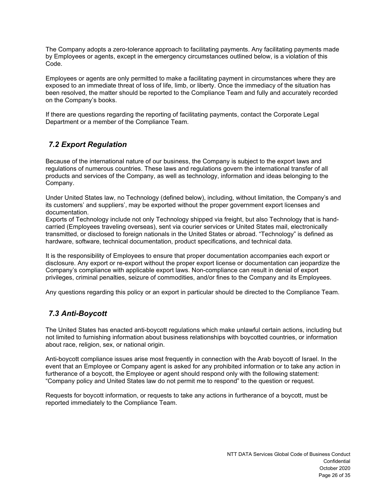The Company adopts a zero-tolerance approach to facilitating payments. Any facilitating payments made by Employees or agents, except in the emergency circumstances outlined below, is a violation of this Code.

Employees or agents are only permitted to make a facilitating payment in circumstances where they are exposed to an immediate threat of loss of life, limb, or liberty. Once the immediacy of the situation has been resolved, the matter should be reported to the Compliance Team and fully and accurately recorded on the Company's books.

If there are questions regarding the reporting of facilitating payments, contact the Corporate Legal Department or a member of the Compliance Team.

## <span id="page-25-0"></span>*7.2 Export Regulation*

Because of the international nature of our business, the Company is subject to the export laws and regulations of numerous countries. These laws and regulations govern the international transfer of all products and services of the Company, as well as technology, information and ideas belonging to the Company.

Under United States law, no Technology (defined below), including, without limitation, the Company's and its customers' and suppliers', may be exported without the proper government export licenses and documentation.

Exports of Technology include not only Technology shipped via freight, but also Technology that is handcarried (Employees traveling overseas), sent via courier services or United States mail, electronically transmitted, or disclosed to foreign nationals in the United States or abroad. "Technology" is defined as hardware, software, technical documentation, product specifications, and technical data.

It is the responsibility of Employees to ensure that proper documentation accompanies each export or disclosure. Any export or re-export without the proper export license or documentation can jeopardize the Company's compliance with applicable export laws. Non-compliance can result in denial of export privileges, criminal penalties, seizure of commodities, and/or fines to the Company and its Employees.

<span id="page-25-1"></span>Any questions regarding this policy or an export in particular should be directed to the Compliance Team.

## *7.3 Anti-Boycott*

The United States has enacted anti-boycott regulations which make unlawful certain actions, including but not limited to furnishing information about business relationships with boycotted countries, or information about race, religion, sex, or national origin.

Anti-boycott compliance issues arise most frequently in connection with the Arab boycott of Israel. In the event that an Employee or Company agent is asked for any prohibited information or to take any action in furtherance of a boycott, the Employee or agent should respond only with the following statement: "Company policy and United States law do not permit me to respond" to the question or request.

Requests for boycott information, or requests to take any actions in furtherance of a boycott, must be reported immediately to the Compliance Team.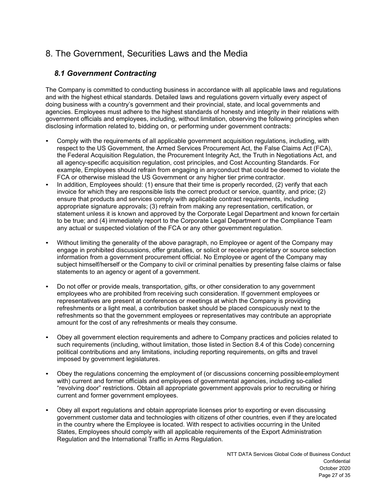# <span id="page-26-0"></span>8. The Government, Securities Laws and the Media

## *8.1 Government Contracting*

<span id="page-26-1"></span>The Company is committed to conducting business in accordance with all applicable laws and regulations and with the highest ethical standards. Detailed laws and regulations govern virtually every aspect of doing business with a country's government and their provincial, state, and local governments and agencies. Employees must adhere to the highest standards of honesty and integrity in their relations with government officials and employees, including, without limitation, observing the following principles when disclosing information related to, bidding on, or performing under government contracts:

- Comply with the requirements of all applicable government acquisition regulations, including, with respect to the US Government, the Armed Services Procurement Act, the False Claims Act (FCA), the Federal Acquisition Regulation, the Procurement Integrity Act, the Truth in Negotiations Act, and all agency-specific acquisition regulation, cost principles, and Cost Accounting Standards. For example, Employees should refrain from engaging in anyconduct that could be deemed to violate the FCA or otherwise mislead the US Government or any higher tier prime contractor.
- In addition, Employees should: (1) ensure that their time is properly recorded, (2) verify that each invoice for which they are responsible lists the correct product or service, quantity, and price; (2) ensure that products and services comply with applicable contract requirements, including appropriate signature approvals; (3) refrain from making any representation, certification, or statement unless it is known and approved by the Corporate Legal Department and known for certain to be true; and (4) immediately report to the Corporate Legal Department or the Compliance Team any actual or suspected violation of the FCA or any other government regulation.
- Without limiting the generality of the above paragraph, no Employee or agent of the Company may engage in prohibited discussions, offer gratuities, or solicit or receive proprietary or source selection information from a government procurement official. No Employee or agent of the Company may subject himself/herself or the Company to civil or criminal penalties by presenting false claims or false statements to an agency or agent of a government.
- Do not offer or provide meals, transportation, gifts, or other consideration to any government employees who are prohibited from receiving such consideration. If government employees or representatives are present at conferences or meetings at which the Company is providing refreshments or a light meal, a contribution basket should be placed conspicuously next to the refreshments so that the government employees or representatives may contribute an appropriate amount for the cost of any refreshments or meals they consume.
- Obey all government election requirements and adhere to Company practices and policies related to such requirements (including, without limitation, those listed in Section 8.4 of this Code) concerning political contributions and any limitations, including reporting requirements, on gifts and travel imposed by government legislatures.
- Obey the regulations concerning the employment of (or discussions concerning possible employment with) current and former officials and employees of governmental agencies, including so-called "revolving door" restrictions. Obtain all appropriate government approvals prior to recruiting or hiring current and former government employees.
- Obey all export regulations and obtain appropriate licenses prior to exporting or even discussing government customer data and technologies with citizens of other countries, even if they arelocated in the country where the Employee is located. With respect to activities occurring in the United States, Employees should comply with all applicable requirements of the Export Administration Regulation and the International Traffic in Arms Regulation.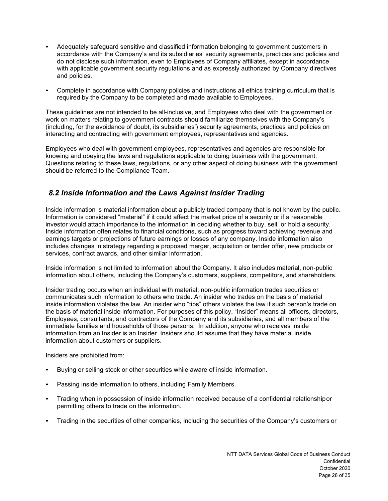- Adequately safeguard sensitive and classified information belonging to government customers in accordance with the Company's and its subsidiaries' security agreements, practices and policies and do not disclose such information, even to Employees of Company affiliates, except in accordance with applicable government security regulations and as expressly authorized by Company directives and policies.
- Complete in accordance with Company policies and instructions all ethics training curriculum that is required by the Company to be completed and made available to Employees.

These guidelines are not intended to be all-inclusive, and Employees who deal with the government or work on matters relating to government contracts should familiarize themselves with the Company's (including, for the avoidance of doubt, its subsidiaries') security agreements, practices and policies on interacting and contracting with government employees, representatives and agencies.

Employees who deal with government employees, representatives and agencies are responsible for knowing and obeying the laws and regulations applicable to doing business with the government. Questions relating to these laws, regulations, or any other aspect of doing business with the government should be referred to the Compliance Team.

## <span id="page-27-0"></span>*8.2 Inside Information and the Laws Against Insider Trading*

Inside information is material information about a publicly traded company that is not known by the public. Information is considered "material" if it could affect the market price of a security or if a reasonable investor would attach importance to the information in deciding whether to buy, sell, or hold a security. Inside information often relates to financial conditions, such as progress toward achieving revenue and earnings targets or projections of future earnings or losses of any company. Inside information also includes changes in strategy regarding a proposed merger, acquisition or tender offer, new products or services, contract awards, and other similar information.

Inside information is not limited to information about the Company. It also includes material, non-public information about others, including the Company's customers, suppliers, competitors, and shareholders.

Insider trading occurs when an individual with material, non-public information trades securities or communicates such information to others who trade. An insider who trades on the basis of material inside information violates the law. An insider who "tips" others violates the law if such person's trade on the basis of material inside information. For purposes of this policy, "Insider" means all officers, directors, Employees, consultants, and contractors of the Company and its subsidiaries, and all members of the immediate families and households of those persons. In addition, anyone who receives inside information from an Insider is an Insider. Insiders should assume that they have material inside information about customers or suppliers.

Insiders are prohibited from:

- Buying or selling stock or other securities while aware of inside information.
- Passing inside information to others, including Family Members.
- Trading when in possession of inside information received because of a confidential relationshipor permitting others to trade on the information.
- Trading in the securities of other companies, including the securities of the Company's customers or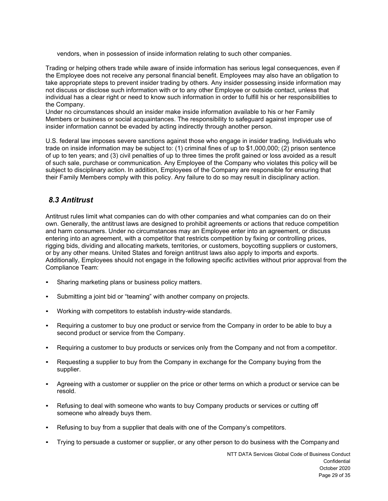vendors, when in possession of inside information relating to such other companies.

Trading or helping others trade while aware of inside information has serious legal consequences, even if the Employee does not receive any personal financial benefit. Employees may also have an obligation to take appropriate steps to prevent insider trading by others. Any insider possessing inside information may not discuss or disclose such information with or to any other Employee or outside contact, unless that individual has a clear right or need to know such information in order to fulfill his or her responsibilities to the Company.

Under no circumstances should an insider make inside information available to his or her Family Members or business or social acquaintances. The responsibility to safeguard against improper use of insider information cannot be evaded by acting indirectly through another person.

U.S. federal law imposes severe sanctions against those who engage in insider trading. Individuals who trade on inside information may be subject to: (1) criminal fines of up to \$1,000,000; (2) prison sentence of up to ten years; and (3) civil penalties of up to three times the profit gained or loss avoided as a result of such sale, purchase or communication. Any Employee of the Company who violates this policy will be subject to disciplinary action. In addition, Employees of the Company are responsible for ensuring that their Family Members comply with this policy. Any failure to do so may result in disciplinary action.

### <span id="page-28-0"></span>*8.3 Antitrust*

Antitrust rules limit what companies can do with other companies and what companies can do on their own. Generally, the antitrust laws are designed to prohibit agreements or actions that reduce competition and harm consumers. Under no circumstances may an Employee enter into an agreement, or discuss entering into an agreement, with a competitor that restricts competition by fixing or controlling prices, rigging bids, dividing and allocating markets, territories, or customers, boycotting suppliers or customers, or by any other means. United States and foreign antitrust laws also apply to imports and exports. Additionally, Employees should not engage in the following specific activities without prior approval from the Compliance Team:

- Sharing marketing plans or business policy matters.
- Submitting a joint bid or "teaming" with another company on projects.
- Working with competitors to establish industry-wide standards.
- Requiring a customer to buy one product or service from the Company in order to be able to buy a second product or service from the Company.
- Requiring a customer to buy products or services only from the Company and not from a competitor.
- Requesting a supplier to buy from the Company in exchange for the Company buying from the supplier.
- Agreeing with a customer or supplier on the price or other terms on which a product or service can be resold.
- Refusing to deal with someone who wants to buy Company products or services or cutting off someone who already buys them.
- Refusing to buy from a supplier that deals with one of the Company's competitors.
- Trying to persuade a customer or supplier, or any other person to do business with the Company and

NTT DATA Services Global Code of Business Conduct **Confidential** October 2020 Page 29 of 35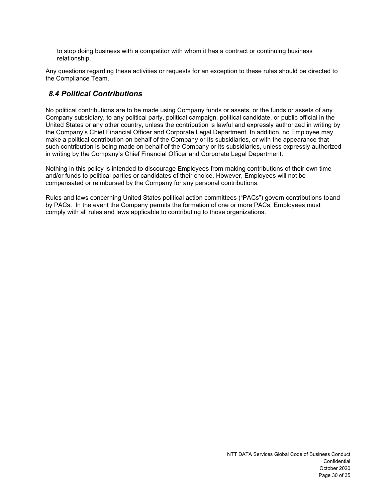to stop doing business with a competitor with whom it has a contract or continuing business relationship.

Any questions regarding these activities or requests for an exception to these rules should be directed to the Compliance Team.

#### <span id="page-29-0"></span>*8.4 Political Contributions*

No political contributions are to be made using Company funds or assets, or the funds or assets of any Company subsidiary, to any political party, political campaign, political candidate, or public official in the United States or any other country, unless the contribution is lawful and expressly authorized in writing by the Company's Chief Financial Officer and Corporate Legal Department. In addition, no Employee may make a political contribution on behalf of the Company or its subsidiaries, or with the appearance that such contribution is being made on behalf of the Company or its subsidiaries, unless expressly authorized in writing by the Company's Chief Financial Officer and Corporate Legal Department.

Nothing in this policy is intended to discourage Employees from making contributions of their own time and/or funds to political parties or candidates of their choice. However, Employees will not be compensated or reimbursed by the Company for any personal contributions.

Rules and laws concerning United States political action committees ("PACs") govern contributions toand by PACs. In the event the Company permits the formation of one or more PACs, Employees must comply with all rules and laws applicable to contributing to those organizations.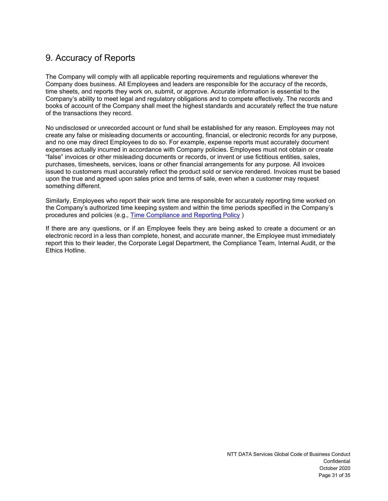## <span id="page-30-0"></span>9. Accuracy of Reports

The Company will comply with all applicable reporting requirements and regulations wherever the Company does business. All Employees and leaders are responsible for the accuracy of the records, time sheets, and reports they work on, submit, or approve. Accurate information is essential to the Company's ability to meet legal and regulatory obligations and to compete effectively. The records and books of account of the Company shall meet the highest standards and accurately reflect the true nature of the transactions they record.

No undisclosed or unrecorded account or fund shall be established for any reason. Employees may not create any false or misleading documents or accounting, financial, or electronic records for any purpose, and no one may direct Employees to do so. For example, expense reports must accurately document expenses actually incurred in accordance with Company policies. Employees must not obtain or create "false" invoices or other misleading documents or records, or invent or use fictitious entities, sales, purchases, timesheets, services, loans or other financial arrangements for any purpose. All invoices issued to customers must accurately reflect the product sold or service rendered. Invoices must be based upon the true and agreed upon sales price and terms of sale, even when a customer may request something different.

Similarly, Employees who report their work time are responsible for accurately reporting time worked on the Company's authorized time keeping system and within the time periods specified in the Company's procedures and policies (e.g., [Time Compliance and Reporting Policy](https://catalys.portal.nttdataservices.com/pluginfile.php/379581/mod_resource/content/4/Global%20Employee%20Time%20Compliance%20and%20Reporting%20Policy%20updated%20-08_25_2020.pdf) )

If there are any questions, or if an Employee feels they are being asked to create a document or an electronic record in a less than complete, honest, and accurate manner, the Employee must immediately report this to their leader, the Corporate Legal Department, the Compliance Team, Internal Audit, or the Ethics Hotline.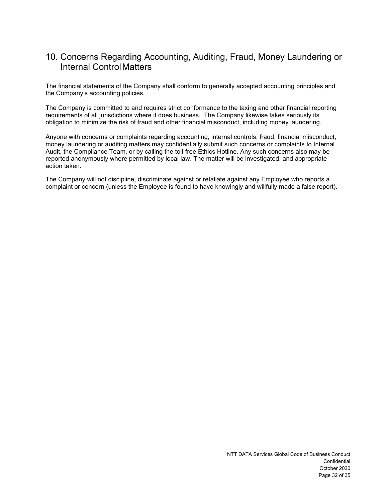## <span id="page-31-0"></span>10. Concerns Regarding Accounting, Auditing, Fraud, Money Laundering or Internal ControlMatters

The financial statements of the Company shall conform to generally accepted accounting principles and the Company's accounting policies.

The Company is committed to and requires strict conformance to the taxing and other financial reporting requirements of all jurisdictions where it does business. The Company likewise takes seriously its obligation to minimize the risk of fraud and other financial misconduct, including money laundering.

Anyone with concerns or complaints regarding accounting, internal controls, fraud, financial misconduct, money laundering or auditing matters may confidentially submit such concerns or complaints to Internal Audit, the Compliance Team, or by calling the toll-free Ethics Hotline. Any such concerns also may be reported anonymously where permitted by local law. The matter will be investigated, and appropriate action taken.

The Company will not discipline, discriminate against or retaliate against any Employee who reports a complaint or concern (unless the Employee is found to have knowingly and willfully made a false report).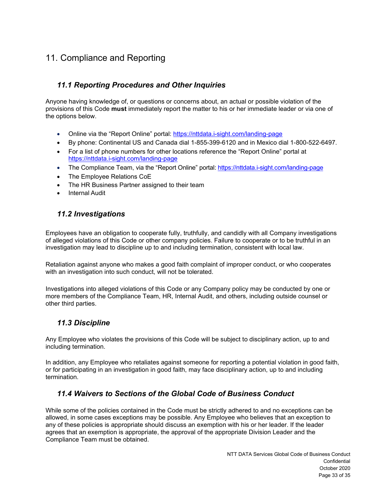# <span id="page-32-1"></span><span id="page-32-0"></span>11. Compliance and Reporting

## *11.1 Reporting Procedures and Other Inquiries*

Anyone having knowledge of, or questions or concerns about, an actual or possible violation of the provisions of this Code **must** immediately report the matter to his or her immediate leader or via one of the options below.

- Online via the "Report Online" portal: <https://nttdata.i-sight.com/landing-page>
- By phone: Continental US and Canada dial 1-855-399-6120 and in Mexico dial 1-800-522-6497.
- For a list of phone numbers for other locations reference the "Report Online" portal at <https://nttdata.i-sight.com/landing-page>
- The Compliance Team, via the "Report Online" portal: https://nttdata.j-sight.com/landing-page
- The Employee Relations CoE
- The HR Business Partner assigned to their team
- Internal Audit

## *11.2 Investigations*

<span id="page-32-2"></span>Employees have an obligation to cooperate fully, truthfully, and candidly with all Company investigations of alleged violations of this Code or other company policies. Failure to cooperate or to be truthful in an investigation may lead to discipline up to and including termination, consistent with local law.

Retaliation against anyone who makes a good faith complaint of improper conduct, or who cooperates with an investigation into such conduct, will not be tolerated.

Investigations into alleged violations of this Code or any Company policy may be conducted by one or more members of the Compliance Team, HR, Internal Audit, and others, including outside counsel or other third parties.

## *11.3 Discipline*

<span id="page-32-3"></span>Any Employee who violates the provisions of this Code will be subject to disciplinary action, up to and including termination.

In addition, any Employee who retaliates against someone for reporting a potential violation in good faith, or for participating in an investigation in good faith, may face disciplinary action, up to and including termination.

## *11.4 Waivers to Sections of the Global Code of Business Conduct*

<span id="page-32-4"></span>While some of the policies contained in the Code must be strictly adhered to and no exceptions can be allowed, in some cases exceptions may be possible. Any Employee who believes that an exception to any of these policies is appropriate should discuss an exemption with his or her leader. If the leader agrees that an exemption is appropriate, the approval of the appropriate Division Leader and the Compliance Team must be obtained.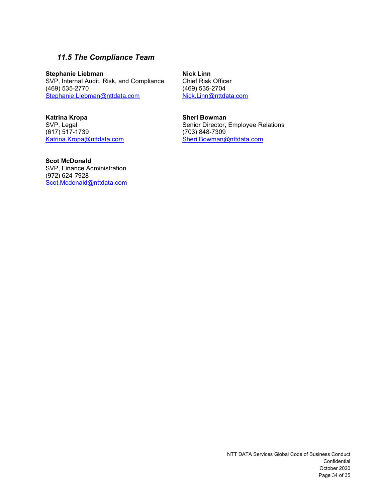## *11.5 The Compliance Team*

<span id="page-33-0"></span>**Stephanie Liebman**<br> **SVP, Internal Audit, Risk, and Compliance** Chief Risk Officer SVP, Internal Audit, Risk, and Compliance Chief Risk Office<br>(469) 535-2770 (469) 635-2704 (469) 535-2770 (469) 635-2704<br>Stephanie.Liebman@nttdata.com Nick.Linn@nttdata.com [Stephanie.Liebman@nttdata.com](mailto:Stephanie.Liebman@nttdata.com)

**Katrina Kropa Sheri Bowman**<br>
SVP, Legal **SUP, Legal** (617) 517-1739<br>Katrina.Kropa@nttdata.com

Senior Director, Employee Relations<br>(703) 848-7309 [Sheri.Bowman@nttdata.com](mailto:Sheri.Bowman@nttdata.com)

**Scot McDonald** SVP, Finance Administration (972) 624-7928 [Scot.Mcdonald@nttdata.com](mailto:Scot.Mcdonald@nttdata.com)